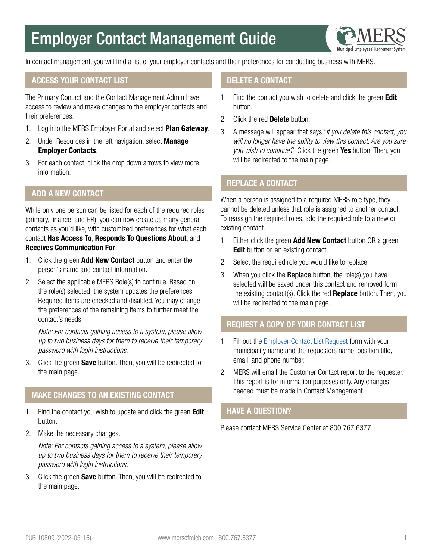

In contact management, you will find a list of your employer contacts and their preferences for conducting business with MERS.

## ACCESS YOUR CONTACT LIST

The Primary Contact and the Contact Management Admin have access to review and make changes to the employer contacts and their preferences.

- 1. Log into the MERS Employer Portal and select **Plan Gateway**.
- 2. Under Resources in the left navigation, select Manage Employer Contacts.
- 3. For each contact, click the drop down arrows to view more information.

# ADD A NEW CONTACT

While only one person can be listed for each of the required roles (primary, finance, and HR), you can now create as many general contacts as you'd like, with customized preferences for what each contact Has Access To, Responds To Questions About, and Receives Communication For.

- 1. Click the green **Add New Contact** button and enter the person's name and contact information.
- 2. Select the applicable MERS Role(s) to continue. Based on the role(s) selected, the system updates the preferences. Required items are checked and disabled. You may change the preferences of the remaining items to further meet the contact's needs.

*Note: For contacts gaining access to a system, please allow up to two business days for them to receive their temporary password with login instructions.*

3. Click the green **Save** button. Then, you will be redirected to the main page.

## MAKE CHANGES TO AN EXISTING CONTACT

- 1. Find the contact you wish to update and click the green Edit button.
- 2. Make the necessary changes.

*Note: For contacts gaining access to a system, please allow up to two business days for them to receive their temporary password with login instructions.*

3. Click the green **Save** button. Then, you will be redirected to the main page.

#### DELETE A CONTACT

- 1. Find the contact you wish to delete and click the green **Edit** button.
- 2. Click the red Delete button.
- 3. A message will appear that says "*If you delete this contact, you will no longer have the ability to view this contact. Are you sure you wish to continue?*" Click the green Yes button. Then, you will be redirected to the main page.

# REPLACE A CONTACT

When a person is assigned to a required MERS role type, they cannot be deleted unless that role is assigned to another contact. To reassign the required roles, add the required role to a new or existing contact.

- 1. Either click the green **Add New Contact** button OR a green **Edit** button on an existing contact.
- 2. Select the required role you would like to replace.
- 3. When you click the **Replace** button, the role(s) you have selected will be saved under this contact and removed form the existing contact(s). Click the red **Replace** button. Then, you will be redirected to the main page.

## REQUEST A COPY OF YOUR CONTACT LIST

- 1. Fill out the [Employer Contact List Request](https://www.mersofmich.com/employer/employer-customer-contact-change-online-form/) form with your municipality name and the requesters name, position title, email, and phone number.
- 2. MERS will email the Customer Contact report to the requester. This report is for information purposes only. Any changes needed must be made in Contact Management.

#### HAVE A QUESTION?

Please contact MERS Service Center at 800.767.6377.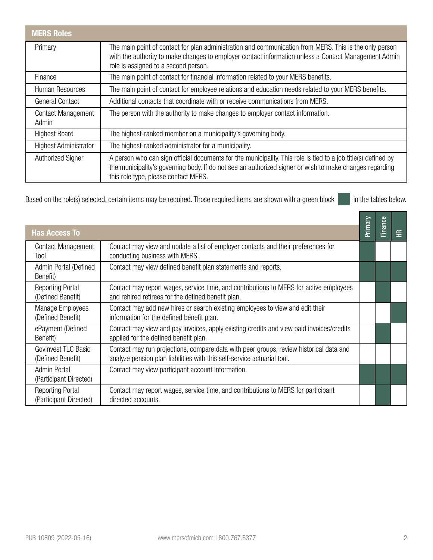| <b>MERS Roles</b>                  |                                                                                                                                                                                                                                                                  |
|------------------------------------|------------------------------------------------------------------------------------------------------------------------------------------------------------------------------------------------------------------------------------------------------------------|
| Primary                            | The main point of contact for plan administration and communication from MERS. This is the only person<br>with the authority to make changes to employer contact information unless a Contact Management Admin<br>role is assigned to a second person.           |
| Finance                            | The main point of contact for financial information related to your MERS benefits.                                                                                                                                                                               |
| Human Resources                    | The main point of contact for employee relations and education needs related to your MERS benefits.                                                                                                                                                              |
| <b>General Contact</b>             | Additional contacts that coordinate with or receive communications from MERS.                                                                                                                                                                                    |
| <b>Contact Management</b><br>Admin | The person with the authority to make changes to employer contact information.                                                                                                                                                                                   |
| <b>Highest Board</b>               | The highest-ranked member on a municipality's governing body.                                                                                                                                                                                                    |
| <b>Highest Administrator</b>       | The highest-ranked administrator for a municipality.                                                                                                                                                                                                             |
| <b>Authorized Signer</b>           | A person who can sign official documents for the municipality. This role is tied to a job title(s) defined by<br>the municipality's governing body. If do not see an authorized signer or wish to make changes regarding<br>this role type, please contact MERS. |

Based on the role(s) selected, certain items may be required. Those required items are shown with a green block in the tables below.

<u> Tanzania de la c</u>

|                                                   |                                                                                                                                                                   | Primary | Finance |   |
|---------------------------------------------------|-------------------------------------------------------------------------------------------------------------------------------------------------------------------|---------|---------|---|
| <b>Has Access To</b>                              |                                                                                                                                                                   |         |         | 똪 |
| <b>Contact Management</b><br>Tool                 | Contact may view and update a list of employer contacts and their preferences for<br>conducting business with MERS.                                               |         |         |   |
| Admin Portal (Defined<br>Benefit)                 | Contact may view defined benefit plan statements and reports.                                                                                                     |         |         |   |
| <b>Reporting Portal</b><br>(Defined Benefit)      | Contact may report wages, service time, and contributions to MERS for active employees<br>and rehired retirees for the defined benefit plan.                      |         |         |   |
| Manage Employees<br>(Defined Benefit)             | Contact may add new hires or search existing employees to view and edit their<br>information for the defined benefit plan.                                        |         |         |   |
| ePayment (Defined<br>Benefit)                     | Contact may view and pay invoices, apply existing credits and view paid invoices/credits<br>applied for the defined benefit plan.                                 |         |         |   |
| GovInvest TLC Basic<br>(Defined Benefit)          | Contact may run projections, compare data with peer groups, review historical data and<br>analyze pension plan liabilities with this self-service actuarial tool. |         |         |   |
| <b>Admin Portal</b><br>(Participant Directed)     | Contact may view participant account information.                                                                                                                 |         |         |   |
| <b>Reporting Portal</b><br>(Participant Directed) | Contact may report wages, service time, and contributions to MERS for participant<br>directed accounts.                                                           |         |         |   |